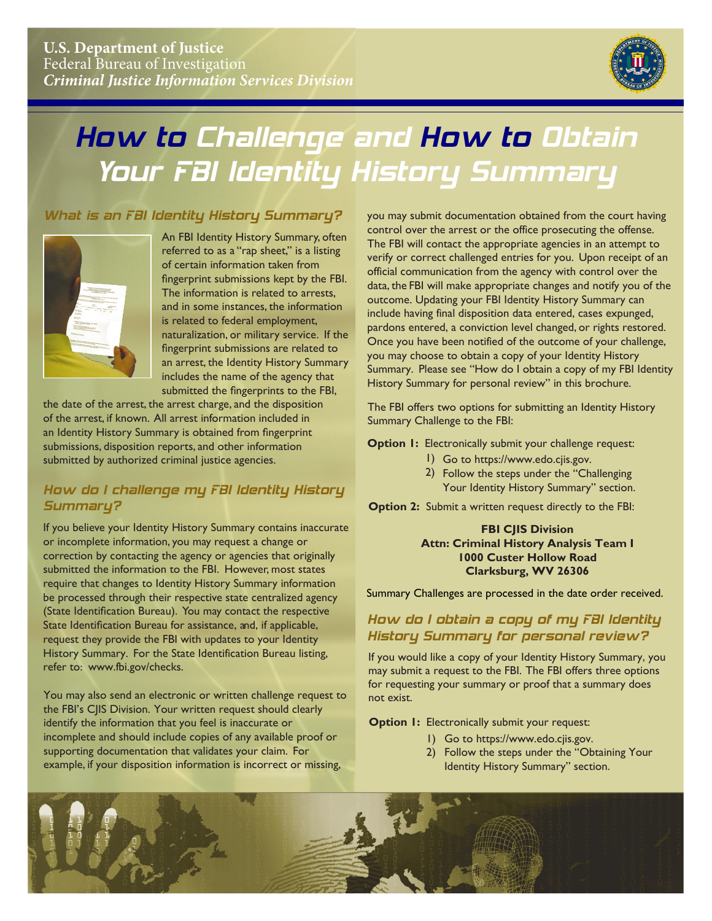

# How to Challenge and How to Obtain Your FBI Identity History Summary

# What is an FBI Identity History Summary?



 fingerprint submissions kept by the FBI. An FBI Identity History Summary, often referred to as a "rap sheet," is a listing of certain information taken from The information is related to arrests, and in some instances, the information is related to federal employment, naturalization, or military service. If the fingerprint submissions are related to an arrest, the Identity History Summary includes the name of the agency that submitted the fingerprints to the FBI,

 of the arrest, if known. All arrest information included in the date of the arrest, the arrest charge, and the disposition an Identity History Summary is obtained from fingerprint submissions, disposition reports, and other information submitted by authorized criminal justice agencies.

# How do I challenge my FBI Identity History Summary?

If you believe your Identity History Summary contains inaccurate or incomplete information, you may request a change or correction by contacting the agency or agencies that originally submitted the information to the FBI. However, most states require that changes to Identity History Summary information be processed through their respective state centralized agency (State Identification Bureau). You may contact the respective State Identification Bureau for assistance, and, if applicable, request they provide the FBI with updates to your Identity History Summary. For the State Identification Bureau listing, refer to: www.fbi.gov/checks.

You may also send an electronic or written challenge request to the FBI's CJIS Division. Your written request should clearly identify the information that you feel is inaccurate or incomplete and should include copies of any available proof or supporting documentation that validates your claim. For example, if your disposition information is incorrect or missing,

 control over the arrest or the office prosecuting the offense. pardons entered, a conviction level changed, or rights restored. you may submit documentation obtained from the court having The FBI will contact the appropriate agencies in an attempt to verify or correct challenged entries for you. Upon receipt of an official communication from the agency with control over the data, the FBI will make appropriate changes and notify you of the outcome. Updating your FBI Identity History Summary can include having final disposition data entered, cases expunged, Once you have been notified of the outcome of your challenge, you may choose to obtain a copy of your Identity History Summary. Please see "How do I obtain a copy of my FBI Identity History Summary for personal review" in this brochure.

The FBI offers two options for submitting an Identity History Summary Challenge to the FBI:

**Option 1:** Electronically submit your challenge request:

- 1) Go to https://www.edo.cjis.gov.
- 2) Follow the steps under the "Challenging Your Identity History Summary" section.

**Option 2:** Submit a written request directly to the FBI:

#### **FBI CJIS Division Attn: Criminal History Analysis Team I 1000 Custer Hollow Road Clarksburg, WV 26306**

Summary Challenges are processed in the date order received.

## How do I obtain a copy of my FBI Identity History Summary for personal review?

 may submit a request to the FBI. The FBI offers three options If you would like a copy of your Identity History Summary, you for requesting your summary or proof that a summary does not exist.

**Option I: Electronically submit your request:** 

- 1) Go to https://www.edo.cjis.gov.
- 2) Follow the steps under the "Obtaining Your Identity History Summary" section.